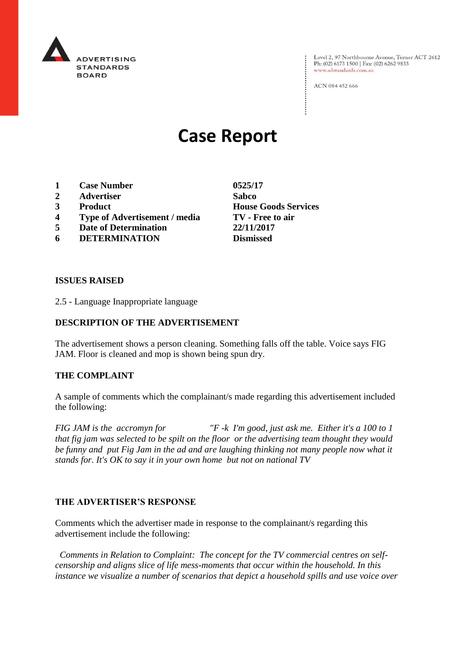

Level 2, 97 Northbourne Avenue, Turner ACT 2612<br>Ph: (02) 6173 1500 | Fax: (02) 6262 9833 www.adstandards.com.au

ACN 084 452 666

# **Case Report**

- **1 Case Number 0525/17**
- **2 Advertiser Sabco**
- **3 Product House Goods Services**
- **4 Type of Advertisement / media TV - Free to air**
- **5 Date of Determination 22/11/2017**
- **6 DETERMINATION Dismissed**

**ISSUES RAISED**

2.5 - Language Inappropriate language

### **DESCRIPTION OF THE ADVERTISEMENT**

The advertisement shows a person cleaning. Something falls off the table. Voice says FIG JAM. Floor is cleaned and mop is shown being spun dry.

#### **THE COMPLAINT**

A sample of comments which the complainant/s made regarding this advertisement included the following:

*FIG JAM is the accromyn for "F -k I'm good, just ask me. Either it's a 100 to 1 that fig jam was selected to be spilt on the floor or the advertising team thought they would be funny and put Fig Jam in the ad and are laughing thinking not many people now what it stands for. It's OK to say it in your own home but not on national TV*

#### **THE ADVERTISER'S RESPONSE**

Comments which the advertiser made in response to the complainant/s regarding this advertisement include the following:

 *Comments in Relation to Complaint: The concept for the TV commercial centres on selfcensorship and aligns slice of life mess-moments that occur within the household. In this instance we visualize a number of scenarios that depict a household spills and use voice over*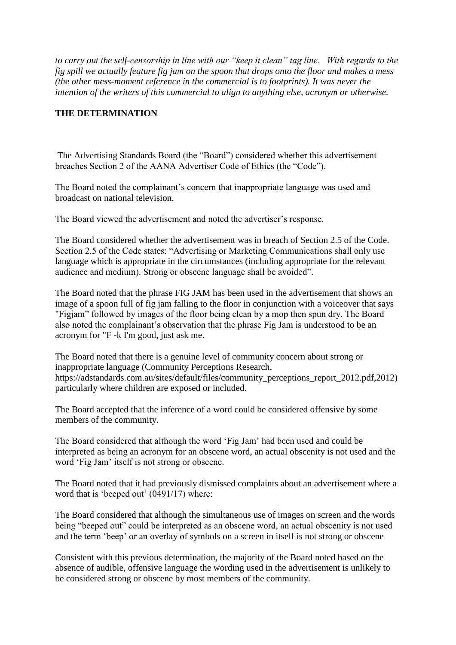*to carry out the self-censorship in line with our "keep it clean" tag line. With regards to the fig spill we actually feature fig jam on the spoon that drops onto the floor and makes a mess (the other mess-moment reference in the commercial is to footprints). It was never the intention of the writers of this commercial to align to anything else, acronym or otherwise.* 

## **THE DETERMINATION**

The Advertising Standards Board (the "Board") considered whether this advertisement breaches Section 2 of the AANA Advertiser Code of Ethics (the "Code").

The Board noted the complainant's concern that inappropriate language was used and broadcast on national television.

The Board viewed the advertisement and noted the advertiser's response.

The Board considered whether the advertisement was in breach of Section 2.5 of the Code. Section 2.5 of the Code states: "Advertising or Marketing Communications shall only use language which is appropriate in the circumstances (including appropriate for the relevant audience and medium). Strong or obscene language shall be avoided".

The Board noted that the phrase FIG JAM has been used in the advertisement that shows an image of a spoon full of fig jam falling to the floor in conjunction with a voiceover that says "Figjam" followed by images of the floor being clean by a mop then spun dry. The Board also noted the complainant's observation that the phrase Fig Jam is understood to be an acronym for "F -k I'm good, just ask me.

The Board noted that there is a genuine level of community concern about strong or inappropriate language (Community Perceptions Research, https://adstandards.com.au/sites/default/files/community\_perceptions\_report\_2012.pdf,2012) particularly where children are exposed or included.

The Board accepted that the inference of a word could be considered offensive by some members of the community.

The Board considered that although the word 'Fig Jam' had been used and could be interpreted as being an acronym for an obscene word, an actual obscenity is not used and the word 'Fig Jam' itself is not strong or obscene.

The Board noted that it had previously dismissed complaints about an advertisement where a word that is 'beeped out' (0491/17) where:

The Board considered that although the simultaneous use of images on screen and the words being "beeped out" could be interpreted as an obscene word, an actual obscenity is not used and the term 'beep' or an overlay of symbols on a screen in itself is not strong or obscene

Consistent with this previous determination, the majority of the Board noted based on the absence of audible, offensive language the wording used in the advertisement is unlikely to be considered strong or obscene by most members of the community.